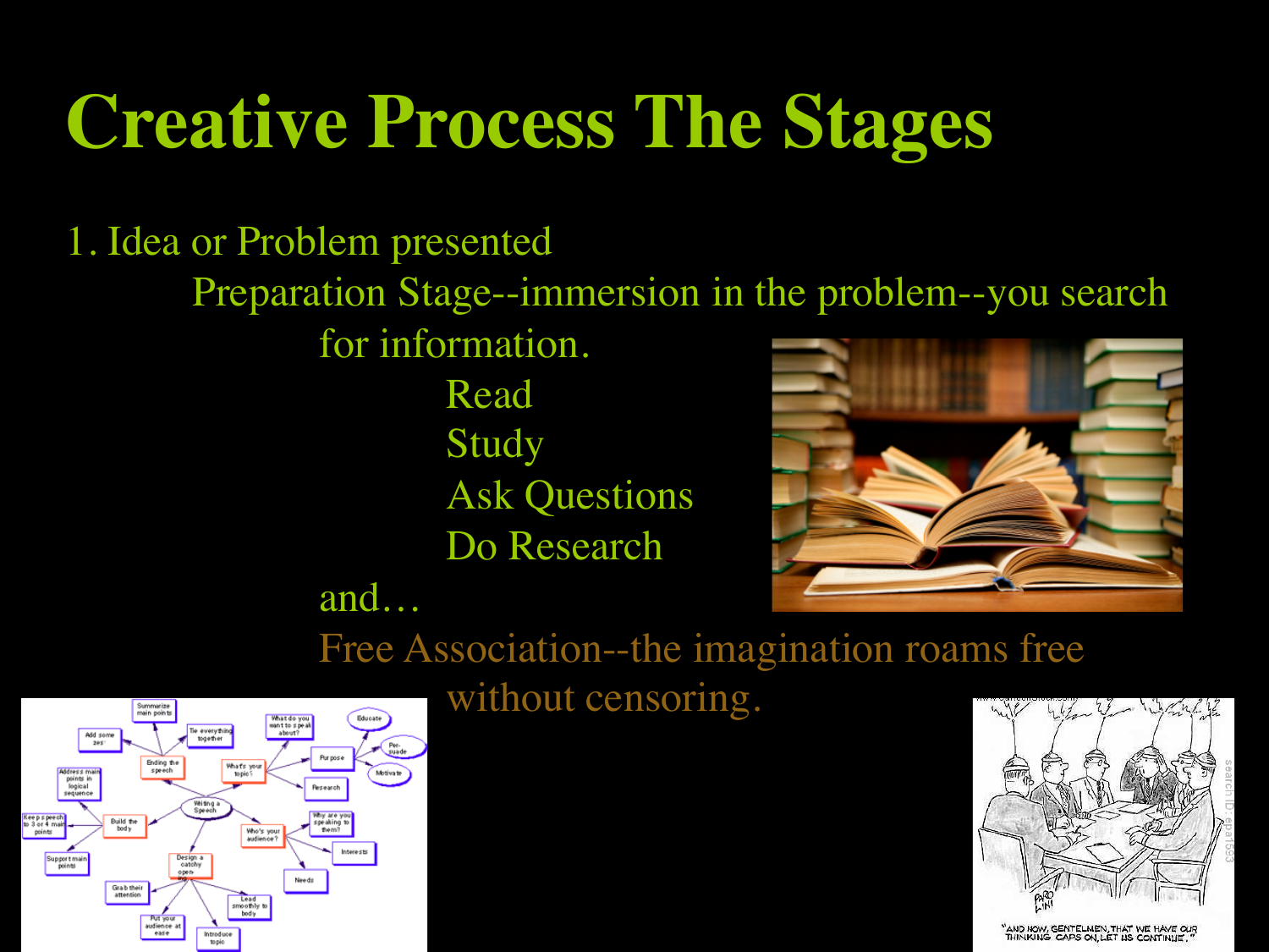# **Creative Process The Stages**

1. Idea or Problem presented Preparation Stage--immersion in the problem--you search for information. Read

 Study Ask Questions Do Research



 Free Association--the imagination roams free

.<br>Summarize<br>main point Tie everythin Add some<br>zes: Ending the<br>speech Phats you Motiva: points in<br>logical<br>sequenc Writing a<br>Speech Keepspeech<br>to 3 or 4 main<br>points Build the<br>bod v peaking<br>Tiem? Who's you<br>audience<sup>2</sup> Interacto Support main<br>points Design Grab their<br>attention Lead<br>smoothly to<br>body Introduce

 and…

without censoring.



"AND NOW, GENTELMEN, THAT WE HAVE OUR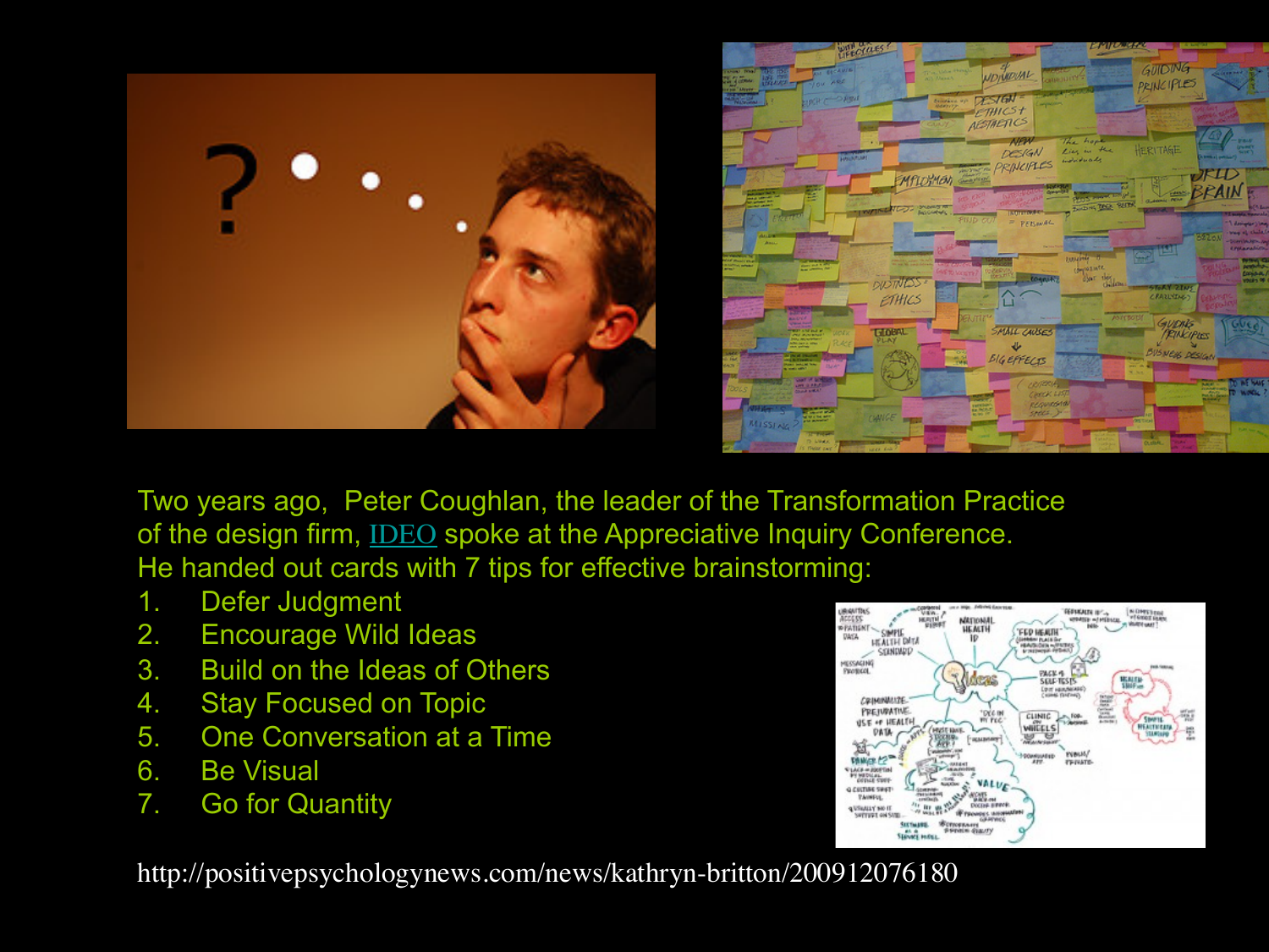



Two years ago, Peter Coughlan, the leader of the Transformation Practice of the design firm, IDEO spoke at the Appreciative Inquiry Conference. He handed out cards with 7 tips for effective brainstorming:

- 1. Defer Judgment
- 2. Encourage Wild Ideas
- 3. Build on the Ideas of Others
- 4. Stay Focused on Topic
- 5. One Conversation at a Time
- 6. Be Visual
- 7. Go for Quantity

http://positivepsychologynews.com/news/kathryn-britton/200912076180

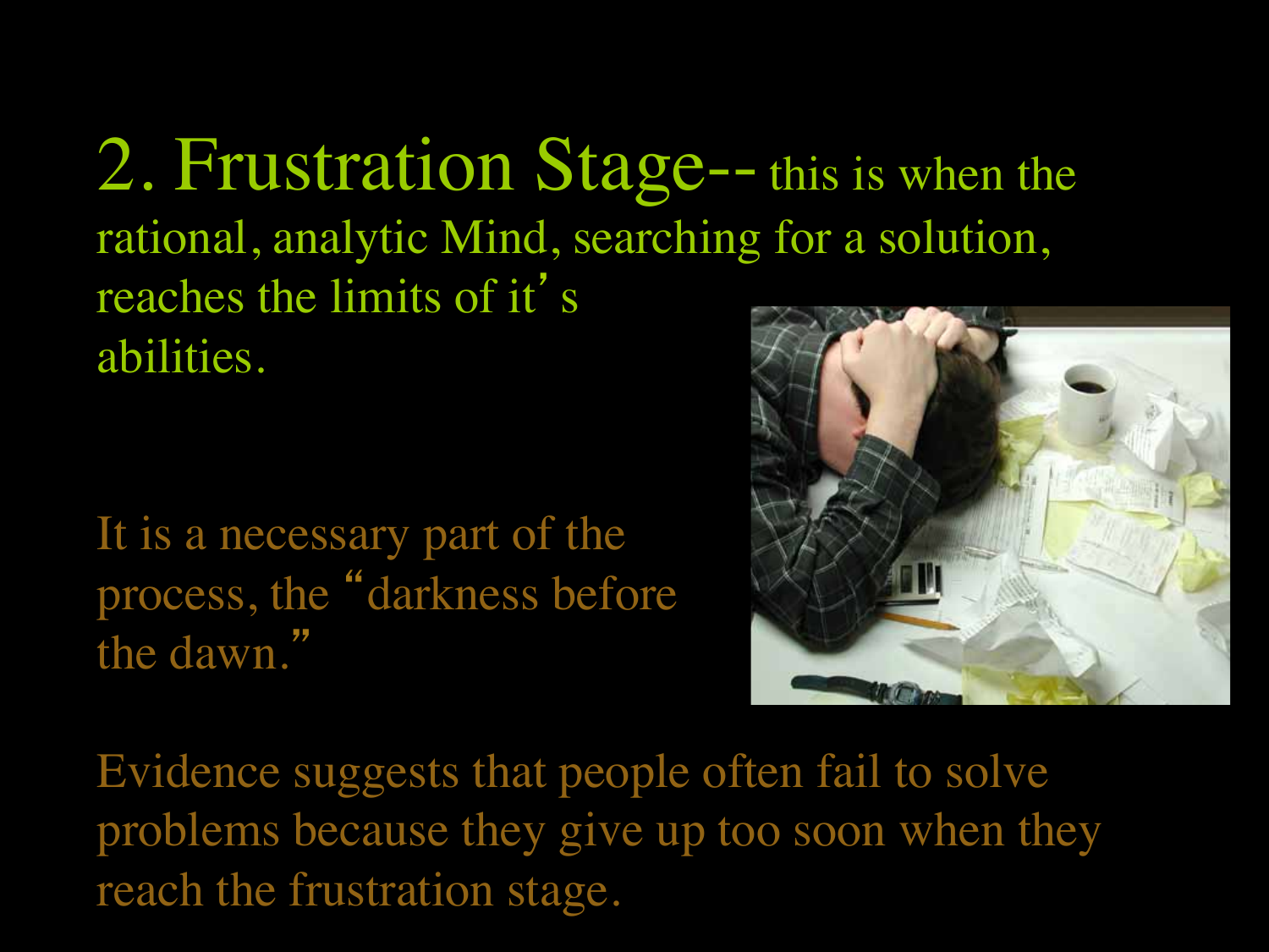2. Frustration Stage--this is when the rational, analytic Mind, searching for a solution, reaches the limits of it' s abilities.

It is a necessary part of the process, the "darkness before the dawn."



Evidence suggests that people often fail to solve problems because they give up too soon when they reach the frustration stage.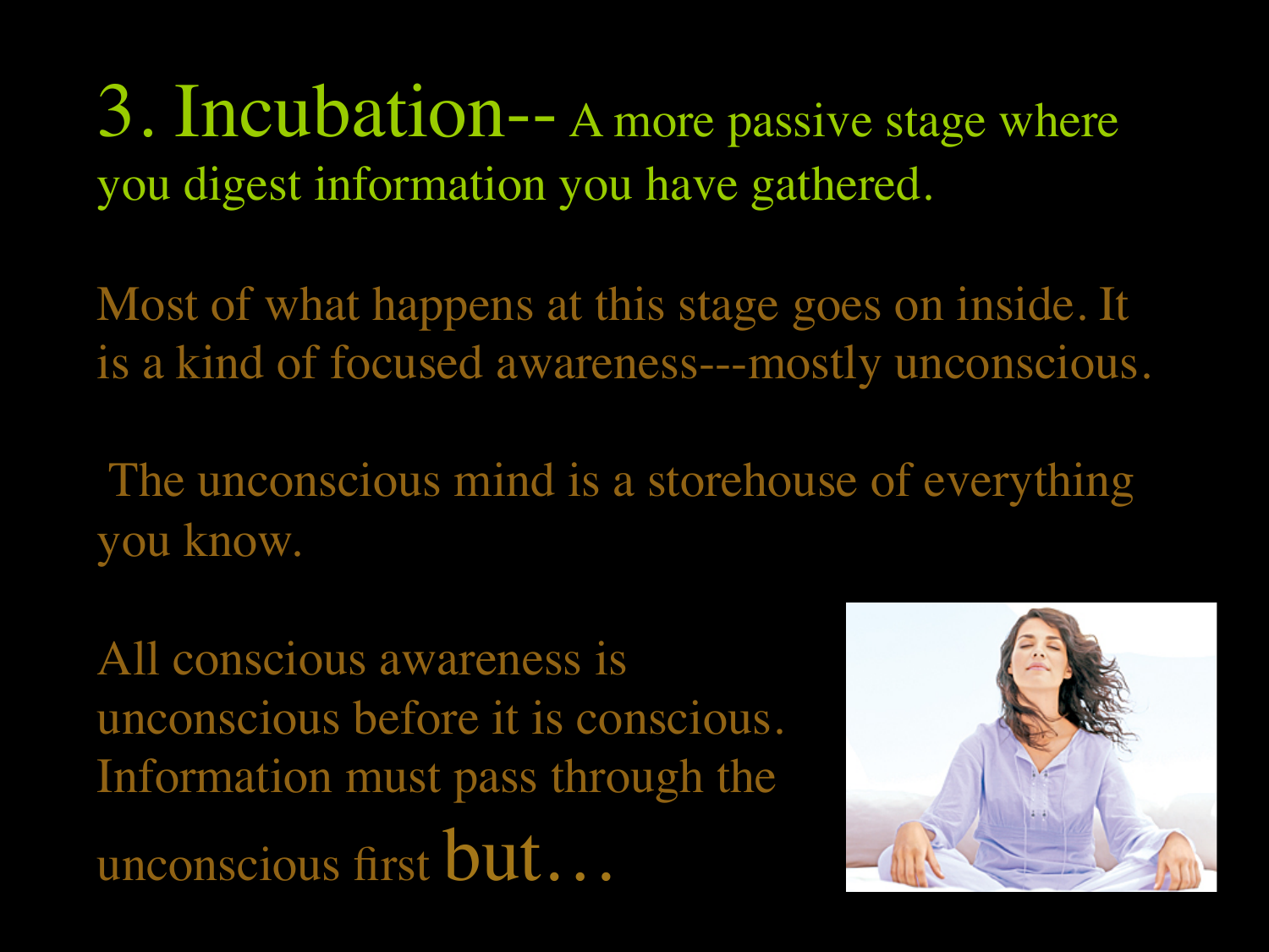3. Incubation-- A more passive stage where you digest information you have gathered.

Most of what happens at this stage goes on inside. It is a kind of focused awareness---mostly unconscious.

The unconscious mind is a storehouse of everything you know.

All conscious awareness is unconscious before it is conscious. Information must pass through the unconscious first but…

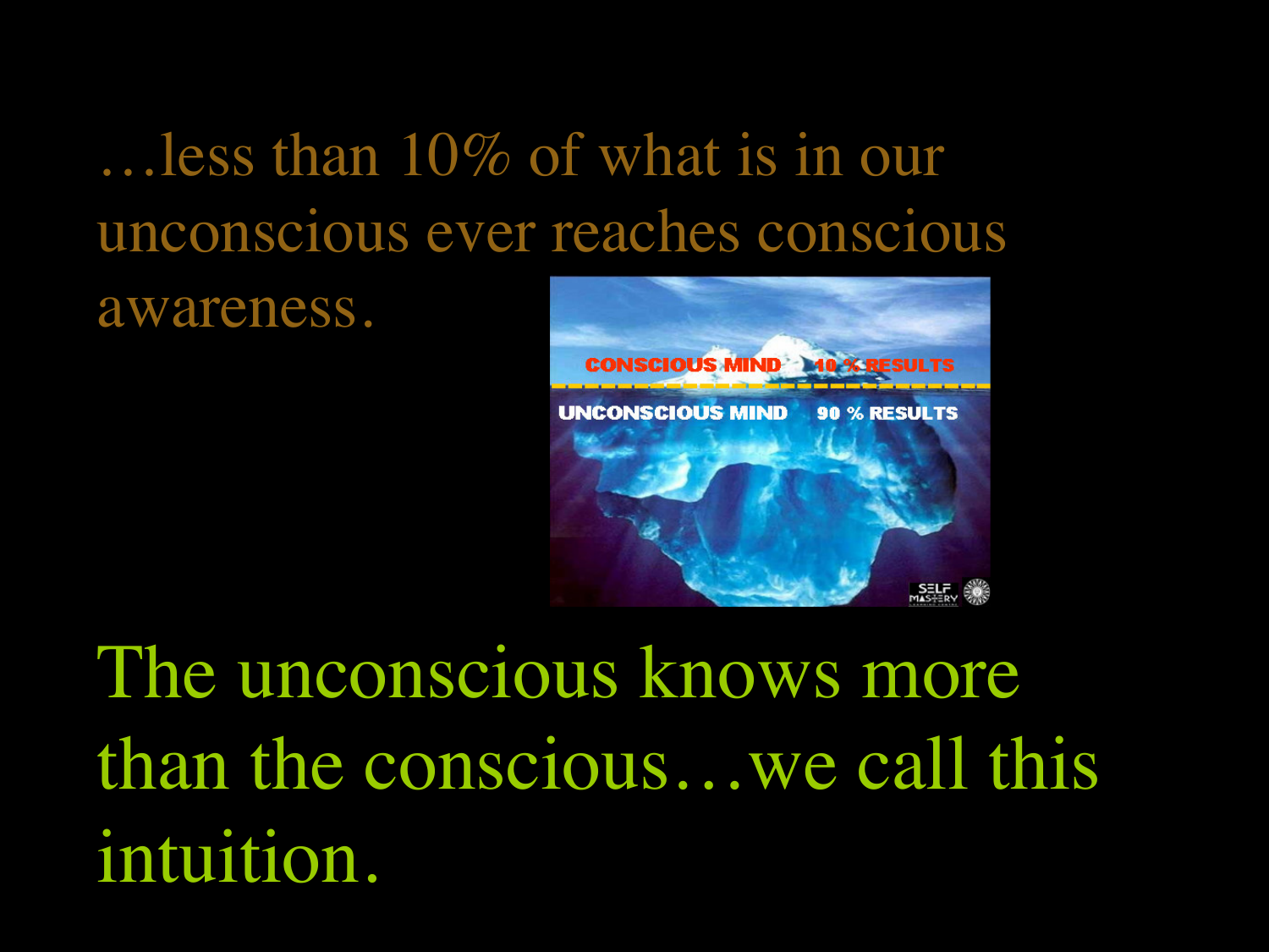# …less than 10% of what is in our unconscious ever reaches conscious

awareness.



The unconscious knows more than the conscious…we call this intuition.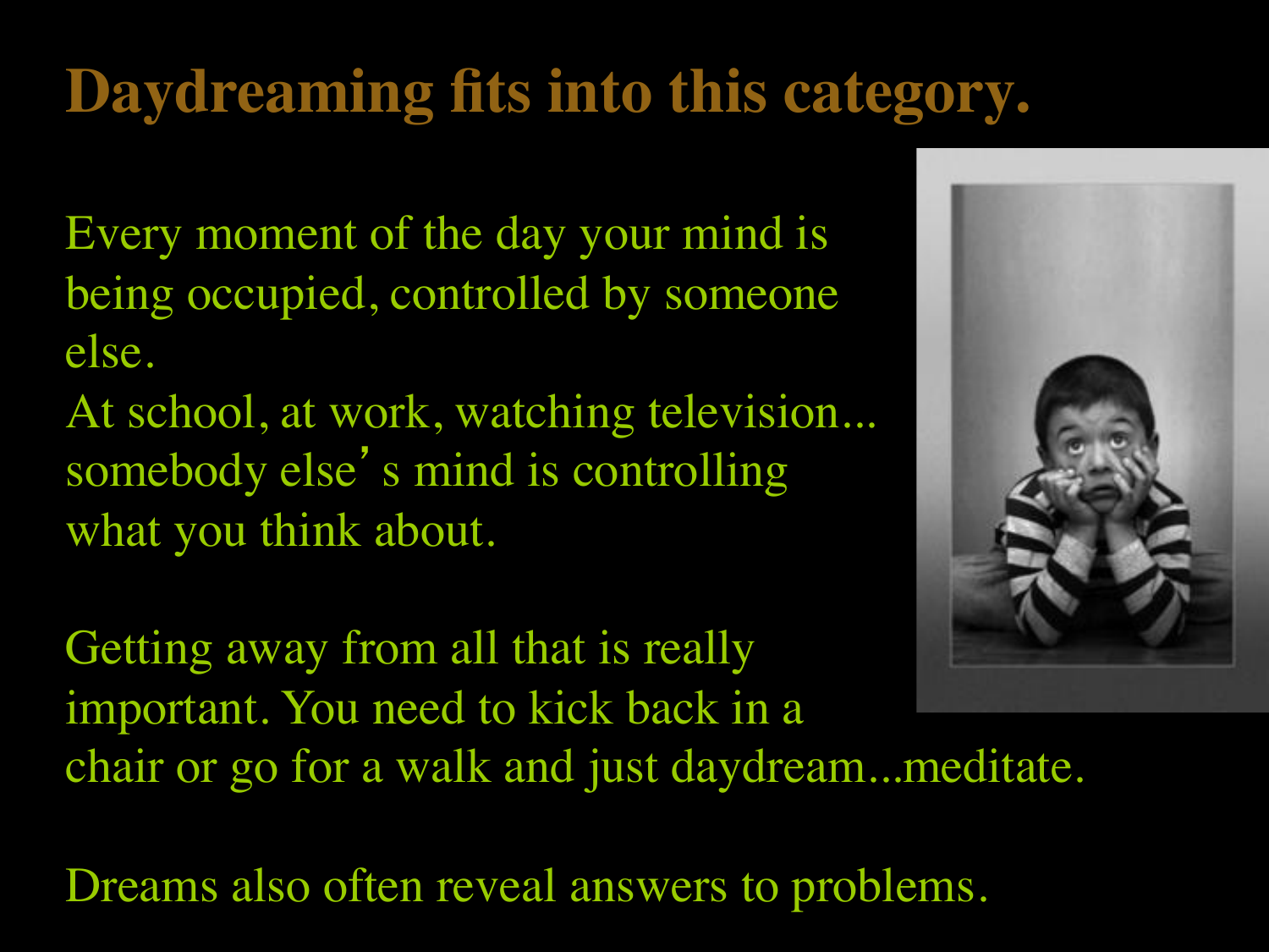# **Daydreaming fits into this category.**

Every moment of the day your mind is being occupied, controlled by someone else.

At school, at work, watching television... somebody else's mind is controlling what you think about.

Getting away from all that is really important. You need to kick back in a chair or go for a walk and just daydream...meditate.



Dreams also often reveal answers to problems.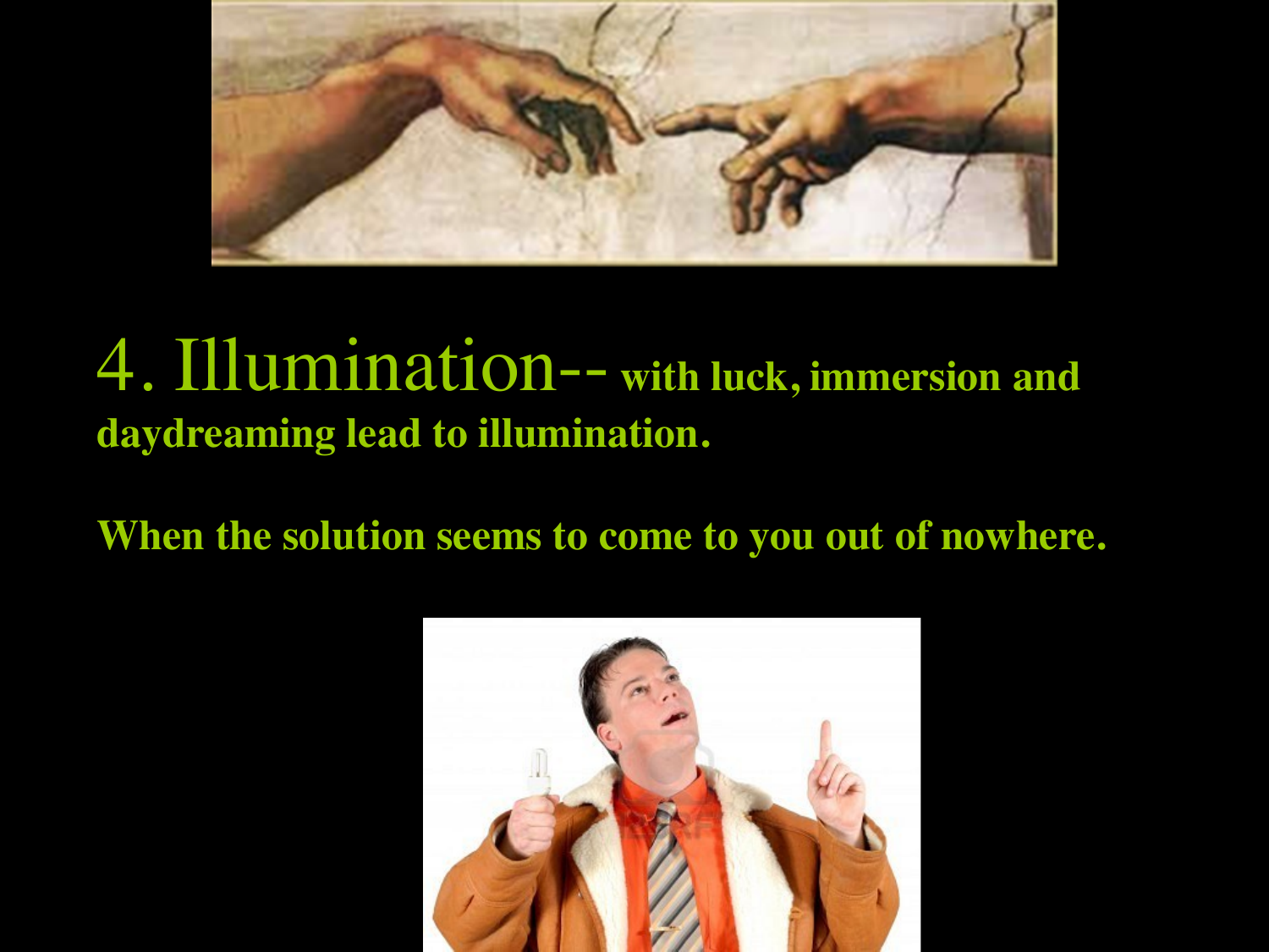

#### 4. Illumination-- **with luck, immersion and daydreaming lead to illumination.**

**When the solution seems to come to you out of nowhere.**

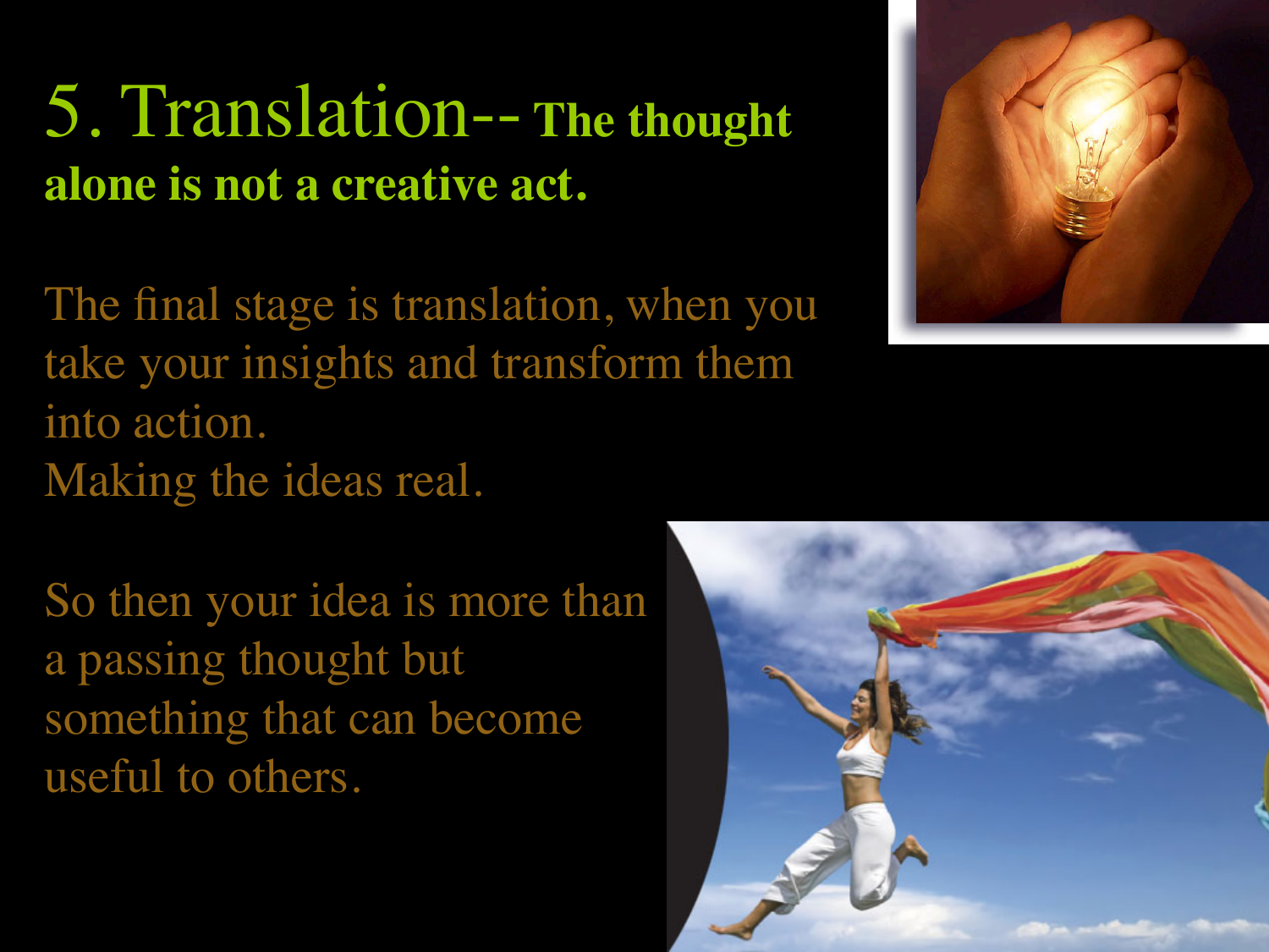# 5. Translation-- **The thought alone is not a creative act.**

The final stage is translation, when you take your insights and transform them into action. Making the ideas real.

So then your idea is more than a passing thought but something that can become useful to others.